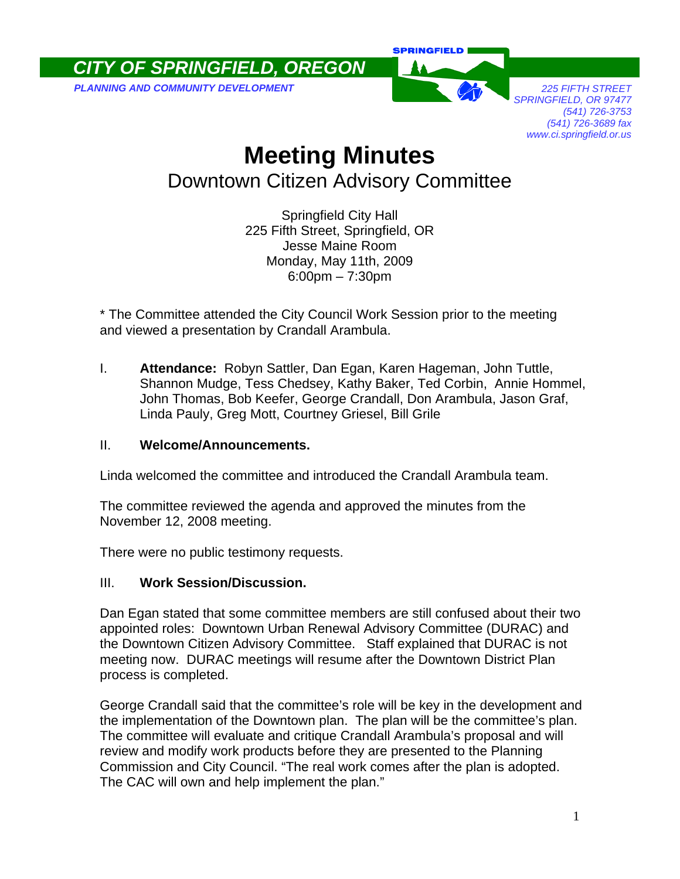*CITY OF SPRINGFIELD, OREGON* 

**PLANNING AND COMMUNITY DEVELOPMENT** *PLANNING AND COMMUNITY DEVELOPMENT* 



*SPRINGFIELD, OR 97477 (541) 726-3753 (541) 726-3689 fax www.ci.springfield.or.us* 

## **Meeting Minutes**  Downtown Citizen Advisory Committee

Springfield City Hall 225 Fifth Street, Springfield, OR Jesse Maine Room Monday, May 11th, 2009 6:00pm – 7:30pm

\* The Committee attended the City Council Work Session prior to the meeting and viewed a presentation by Crandall Arambula.

I. **Attendance:** Robyn Sattler, Dan Egan, Karen Hageman, John Tuttle, Shannon Mudge, Tess Chedsey, Kathy Baker, Ted Corbin, Annie Hommel, John Thomas, Bob Keefer, George Crandall, Don Arambula, Jason Graf, Linda Pauly, Greg Mott, Courtney Griesel, Bill Grile

## II. **Welcome/Announcements.**

Linda welcomed the committee and introduced the Crandall Arambula team.

The committee reviewed the agenda and approved the minutes from the November 12, 2008 meeting.

There were no public testimony requests.

## III. **Work Session/Discussion.**

Dan Egan stated that some committee members are still confused about their two appointed roles: Downtown Urban Renewal Advisory Committee (DURAC) and the Downtown Citizen Advisory Committee. Staff explained that DURAC is not meeting now. DURAC meetings will resume after the Downtown District Plan process is completed.

George Crandall said that the committee's role will be key in the development and the implementation of the Downtown plan. The plan will be the committee's plan. The committee will evaluate and critique Crandall Arambula's proposal and will review and modify work products before they are presented to the Planning Commission and City Council. "The real work comes after the plan is adopted. The CAC will own and help implement the plan."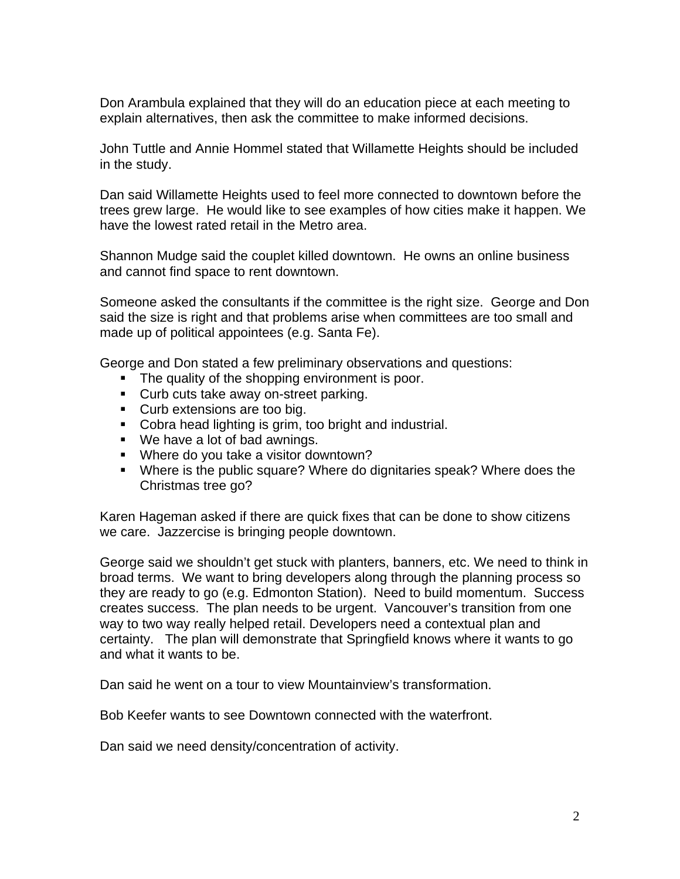Don Arambula explained that they will do an education piece at each meeting to explain alternatives, then ask the committee to make informed decisions.

John Tuttle and Annie Hommel stated that Willamette Heights should be included in the study.

Dan said Willamette Heights used to feel more connected to downtown before the trees grew large. He would like to see examples of how cities make it happen. We have the lowest rated retail in the Metro area.

Shannon Mudge said the couplet killed downtown. He owns an online business and cannot find space to rent downtown.

Someone asked the consultants if the committee is the right size. George and Don said the size is right and that problems arise when committees are too small and made up of political appointees (e.g. Santa Fe).

George and Don stated a few preliminary observations and questions:

- The quality of the shopping environment is poor.
- **Curb cuts take away on-street parking.**
- **Curb extensions are too big.**
- Cobra head lighting is grim, too bright and industrial.
- We have a lot of bad awnings.
- **Where do you take a visitor downtown?**
- Where is the public square? Where do dignitaries speak? Where does the Christmas tree go?

Karen Hageman asked if there are quick fixes that can be done to show citizens we care. Jazzercise is bringing people downtown.

George said we shouldn't get stuck with planters, banners, etc. We need to think in broad terms. We want to bring developers along through the planning process so they are ready to go (e.g. Edmonton Station). Need to build momentum. Success creates success. The plan needs to be urgent. Vancouver's transition from one way to two way really helped retail. Developers need a contextual plan and certainty. The plan will demonstrate that Springfield knows where it wants to go and what it wants to be.

Dan said he went on a tour to view Mountainview's transformation.

Bob Keefer wants to see Downtown connected with the waterfront.

Dan said we need density/concentration of activity.